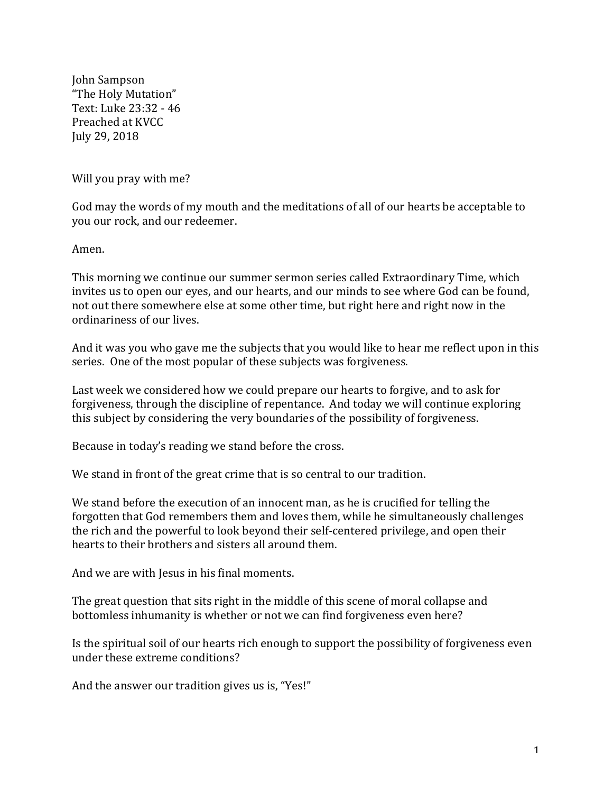John Sampson "The Holy Mutation" Text: Luke 23:32 - 46 Preached at KVCC July 29, 2018

Will you pray with me?

God may the words of my mouth and the meditations of all of our hearts be acceptable to you our rock, and our redeemer.

Amen.

This morning we continue our summer sermon series called Extraordinary Time, which invites us to open our eyes, and our hearts, and our minds to see where God can be found, not out there somewhere else at some other time, but right here and right now in the ordinariness of our lives.

And it was you who gave me the subjects that you would like to hear me reflect upon in this series. One of the most popular of these subjects was forgiveness.

Last week we considered how we could prepare our hearts to forgive, and to ask for forgiveness, through the discipline of repentance. And today we will continue exploring this subject by considering the very boundaries of the possibility of forgiveness.

Because in today's reading we stand before the cross.

We stand in front of the great crime that is so central to our tradition.

We stand before the execution of an innocent man, as he is crucified for telling the forgotten that God remembers them and loves them, while he simultaneously challenges the rich and the powerful to look beyond their self-centered privilege, and open their hearts to their brothers and sisters all around them.

And we are with Jesus in his final moments.

The great question that sits right in the middle of this scene of moral collapse and bottomless inhumanity is whether or not we can find forgiveness even here?

Is the spiritual soil of our hearts rich enough to support the possibility of forgiveness even under these extreme conditions?

And the answer our tradition gives us is, "Yes!"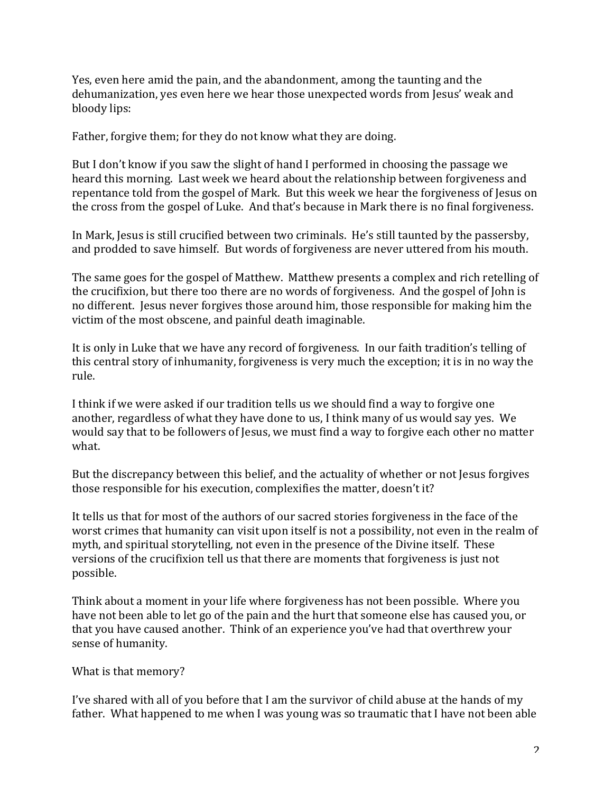Yes, even here amid the pain, and the abandonment, among the taunting and the dehumanization, yes even here we hear those unexpected words from Jesus' weak and bloody lips:

Father, forgive them; for they do not know what they are doing.

But I don't know if you saw the slight of hand I performed in choosing the passage we heard this morning. Last week we heard about the relationship between forgiveness and repentance told from the gospel of Mark. But this week we hear the forgiveness of Jesus on the cross from the gospel of Luke. And that's because in Mark there is no final forgiveness.

In Mark, Jesus is still crucified between two criminals. He's still taunted by the passersby, and prodded to save himself. But words of forgiveness are never uttered from his mouth.

The same goes for the gospel of Matthew. Matthew presents a complex and rich retelling of the crucifixion, but there too there are no words of forgiveness. And the gospel of John is no different. Jesus never forgives those around him, those responsible for making him the victim of the most obscene, and painful death imaginable.

It is only in Luke that we have any record of forgiveness. In our faith tradition's telling of this central story of inhumanity, forgiveness is very much the exception; it is in no way the rule. 

I think if we were asked if our tradition tells us we should find a way to forgive one another, regardless of what they have done to us, I think many of us would say yes. We would say that to be followers of Jesus, we must find a way to forgive each other no matter what.

But the discrepancy between this belief, and the actuality of whether or not Jesus forgives those responsible for his execution, complexifies the matter, doesn't it?

It tells us that for most of the authors of our sacred stories forgiveness in the face of the worst crimes that humanity can visit upon itself is not a possibility, not even in the realm of myth, and spiritual storytelling, not even in the presence of the Divine itself. These versions of the crucifixion tell us that there are moments that forgiveness is just not possible.

Think about a moment in your life where forgiveness has not been possible. Where you have not been able to let go of the pain and the hurt that someone else has caused you, or that you have caused another. Think of an experience you've had that overthrew your sense of humanity.

What is that memory?

I've shared with all of you before that I am the survivor of child abuse at the hands of my father. What happened to me when I was young was so traumatic that I have not been able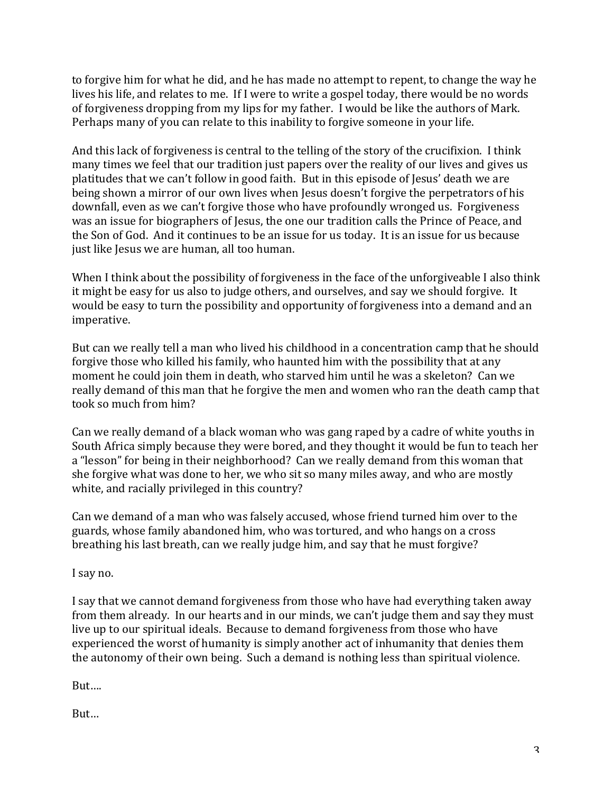to forgive him for what he did, and he has made no attempt to repent, to change the way he lives his life, and relates to me. If I were to write a gospel today, there would be no words of forgiveness dropping from my lips for my father. I would be like the authors of Mark. Perhaps many of you can relate to this inability to forgive someone in your life.

And this lack of forgiveness is central to the telling of the story of the crucifixion. I think many times we feel that our tradition just papers over the reality of our lives and gives us platitudes that we can't follow in good faith. But in this episode of Jesus' death we are being shown a mirror of our own lives when Jesus doesn't forgive the perpetrators of his downfall, even as we can't forgive those who have profoundly wronged us. Forgiveness was an issue for biographers of Jesus, the one our tradition calls the Prince of Peace, and the Son of God. And it continues to be an issue for us today. It is an issue for us because just like Jesus we are human, all too human.

When I think about the possibility of forgiveness in the face of the unforgiveable I also think it might be easy for us also to judge others, and ourselves, and say we should forgive. It would be easy to turn the possibility and opportunity of forgiveness into a demand and an imperative.

But can we really tell a man who lived his childhood in a concentration camp that he should forgive those who killed his family, who haunted him with the possibility that at any moment he could join them in death, who starved him until he was a skeleton? Can we really demand of this man that he forgive the men and women who ran the death camp that took so much from him?

Can we really demand of a black woman who was gang raped by a cadre of white youths in South Africa simply because they were bored, and they thought it would be fun to teach her a "lesson" for being in their neighborhood? Can we really demand from this woman that she forgive what was done to her, we who sit so many miles away, and who are mostly white, and racially privileged in this country?

Can we demand of a man who was falsely accused, whose friend turned him over to the guards, whose family abandoned him, who was tortured, and who hangs on a cross breathing his last breath, can we really judge him, and say that he must forgive?

I say no.

I say that we cannot demand forgiveness from those who have had everything taken away from them already. In our hearts and in our minds, we can't judge them and say they must live up to our spiritual ideals. Because to demand forgiveness from those who have experienced the worst of humanity is simply another act of inhumanity that denies them the autonomy of their own being. Such a demand is nothing less than spiritual violence.

But….

But…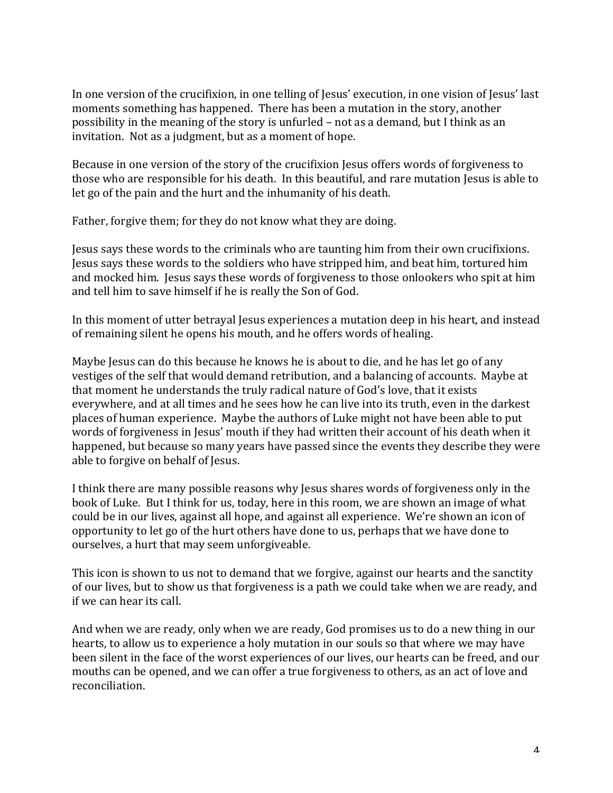In one version of the crucifixion, in one telling of Jesus' execution, in one vision of Jesus' last moments something has happened. There has been a mutation in the story, another possibility in the meaning of the story is unfurled – not as a demand, but I think as an invitation. Not as a judgment, but as a moment of hope.

Because in one version of the story of the crucifixion Jesus offers words of forgiveness to those who are responsible for his death. In this beautiful, and rare mutation Jesus is able to let go of the pain and the hurt and the inhumanity of his death.

Father, forgive them; for they do not know what they are doing.

Jesus says these words to the criminals who are taunting him from their own crucifixions. Jesus says these words to the soldiers who have stripped him, and beat him, tortured him and mocked him. Jesus says these words of forgiveness to those onlookers who spit at him and tell him to save himself if he is really the Son of God.

In this moment of utter betrayal Jesus experiences a mutation deep in his heart, and instead of remaining silent he opens his mouth, and he offers words of healing.

Maybe Jesus can do this because he knows he is about to die, and he has let go of any vestiges of the self that would demand retribution, and a balancing of accounts. Maybe at that moment he understands the truly radical nature of God's love, that it exists everywhere, and at all times and he sees how he can live into its truth, even in the darkest places of human experience. Maybe the authors of Luke might not have been able to put words of forgiveness in Jesus' mouth if they had written their account of his death when it happened, but because so many years have passed since the events they describe they were able to forgive on behalf of Jesus.

I think there are many possible reasons why Jesus shares words of forgiveness only in the book of Luke. But I think for us, today, here in this room, we are shown an image of what could be in our lives, against all hope, and against all experience. We're shown an icon of opportunity to let go of the hurt others have done to us, perhaps that we have done to ourselves, a hurt that may seem unforgiveable.

This icon is shown to us not to demand that we forgive, against our hearts and the sanctity of our lives, but to show us that forgiveness is a path we could take when we are ready, and if we can hear its call.

And when we are ready, only when we are ready, God promises us to do a new thing in our hearts, to allow us to experience a holy mutation in our souls so that where we may have been silent in the face of the worst experiences of our lives, our hearts can be freed, and our mouths can be opened, and we can offer a true forgiveness to others, as an act of love and reconciliation.